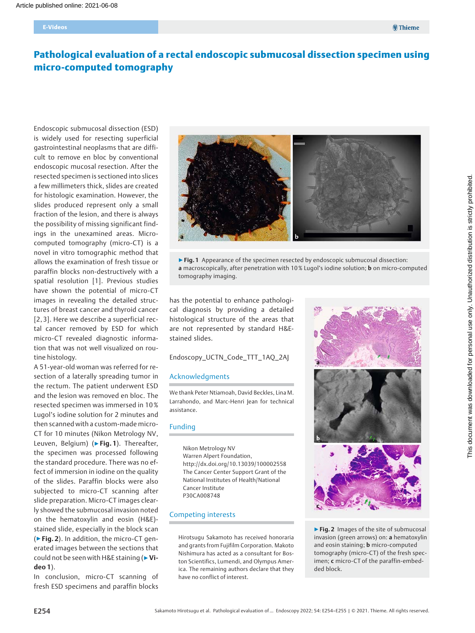# Pathological evaluation of a rectal endoscopic submucosal dissection specimen using micro-computed tomography

Endoscopic submucosal dissection (ESD) is widely used for resecting superficial gastrointestinal neoplasms that are difficult to remove en bloc by conventional endoscopic mucosal resection. After the resected specimen is sectioned into slices a few millimeters thick, slides are created for histologic examination. However, the slides produced represent only a small fraction of the lesion, and there is always the possibility of missing significant findings in the unexamined areas. Microcomputed tomography (micro-CT) is a novel in vitro tomographic method that allows the examination of fresh tissue or paraffin blocks non-destructively with a spatial resolution [1]. Previous studies have shown the potential of micro-CT images in revealing the detailed structures of breast cancer and thyroid cancer [2, 3]. Here we describe a superficial rectal cancer removed by ESD for which micro-CT revealed diagnostic information that was not well visualized on routine histology.

A 51-year-old woman was referred for resection of a laterally spreading tumor in the rectum. The patient underwent ESD and the lesion was removed en bloc. The resected specimen was immersed in 10% Lugol's iodine solution for 2 minutes and then scanned with a custom-made micro-CT for 10 minutes (Nikon Metrology NV, Leuven, Belgium) (▶ Fig. 1). Thereafter, the specimen was processed following the standard procedure. There was no effect of immersion in iodine on the quality of the slides. Paraffin blocks were also subjected to micro-CT scanning after slide preparation. Micro-CT images clearly showed the submucosal invasion noted on the hematoxylin and eosin (H&E) stained slide, especially in the block scan (▶Fig. 2). In addition, the micro-CT generated images between the sections that could not be seen with H&E staining ( $\triangleright$  Video 1).

In conclusion, micro-CT scanning of fresh ESD specimens and paraffin blocks



▶ Fig. 1 Appearance of the specimen resected by endoscopic submucosal dissection: a macroscopically, after penetration with 10% Lugol's iodine solution; **b** on micro-computed tomography imaging.

has the potential to enhance pathological diagnosis by providing a detailed histological structure of the areas that are not represented by standard H&Estained slides.

#### Endoscopy\_UCTN\_Code\_TTT\_1AQ\_2AJ

#### Acknowledgments

We thank Peter Ntiamoah, David Beckles, Lina M. Larrahondo, and Marc-Henri Jean for technical assistance.

#### Funding

Nikon Metrology NV Warren Alpert Foundation, http://dx.doi.org/10.13039/100002558 The Cancer Center Support Grant of the National Institutes of Health/National Cancer Institute P30CA008748

#### Competing interests

Hirotsugu Sakamoto has received honoraria and grants from Fujifilm Corporation. Makoto Nishimura has acted as a consultant for Boston Scientifics, Lumendi, and Olympus America. The remaining authors declare that they have no conflict of interest.



▶ Fig. 2 Images of the site of submucosal invasion (green arrows) on: a hematoxylin and eosin staining; **b** micro-computed tomography (micro-CT) of the fresh specimen; c micro-CT of the paraffin-embedded block.